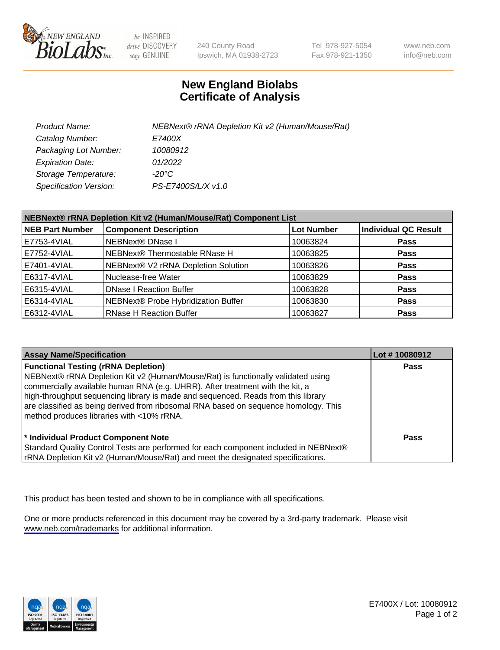

be INSPIRED drive DISCOVERY stay GENUINE

240 County Road Ipswich, MA 01938-2723 Tel 978-927-5054 Fax 978-921-1350

www.neb.com info@neb.com

## **New England Biolabs Certificate of Analysis**

| Product Name:                 | NEBNext® rRNA Depletion Kit v2 (Human/Mouse/Rat) |
|-------------------------------|--------------------------------------------------|
| Catalog Number:               | <i>E7400X</i>                                    |
| Packaging Lot Number:         | 10080912                                         |
| <b>Expiration Date:</b>       | 01/2022                                          |
| Storage Temperature:          | -20°C                                            |
| <b>Specification Version:</b> | PS-E7400S/L/X v1.0                               |

| NEBNext® rRNA Depletion Kit v2 (Human/Mouse/Rat) Component List |                                     |                   |                      |
|-----------------------------------------------------------------|-------------------------------------|-------------------|----------------------|
| <b>NEB Part Number</b>                                          | <b>Component Description</b>        | <b>Lot Number</b> | Individual QC Result |
| E7753-4VIAL                                                     | <b>NEBNext® DNase I</b>             | 10063824          | <b>Pass</b>          |
| E7752-4VIAL                                                     | NEBNext® Thermostable RNase H       | 10063825          | <b>Pass</b>          |
| E7401-4VIAL                                                     | NEBNext® V2 rRNA Depletion Solution | 10063826          | <b>Pass</b>          |
| E6317-4VIAL                                                     | Nuclease-free Water                 | 10063829          | <b>Pass</b>          |
| E6315-4VIAL                                                     | <b>DNase I Reaction Buffer</b>      | 10063828          | <b>Pass</b>          |
| E6314-4VIAL                                                     | NEBNext® Probe Hybridization Buffer | 10063830          | <b>Pass</b>          |
| E6312-4VIAL                                                     | <b>RNase H Reaction Buffer</b>      | 10063827          | <b>Pass</b>          |

| <b>Assay Name/Specification</b>                                                                                                                                                                                                                                                                                                                                                                                                          | Lot #10080912 |
|------------------------------------------------------------------------------------------------------------------------------------------------------------------------------------------------------------------------------------------------------------------------------------------------------------------------------------------------------------------------------------------------------------------------------------------|---------------|
| <b>Functional Testing (rRNA Depletion)</b><br>NEBNext® rRNA Depletion Kit v2 (Human/Mouse/Rat) is functionally validated using<br>commercially available human RNA (e.g. UHRR). After treatment with the kit, a<br>high-throughput sequencing library is made and sequenced. Reads from this library<br>are classified as being derived from ribosomal RNA based on sequence homology. This<br>method produces libraries with <10% rRNA. | <b>Pass</b>   |
| * Individual Product Component Note<br>Standard Quality Control Tests are performed for each component included in NEBNext®<br>rRNA Depletion Kit v2 (Human/Mouse/Rat) and meet the designated specifications.                                                                                                                                                                                                                           | Pass          |

This product has been tested and shown to be in compliance with all specifications.

One or more products referenced in this document may be covered by a 3rd-party trademark. Please visit <www.neb.com/trademarks>for additional information.